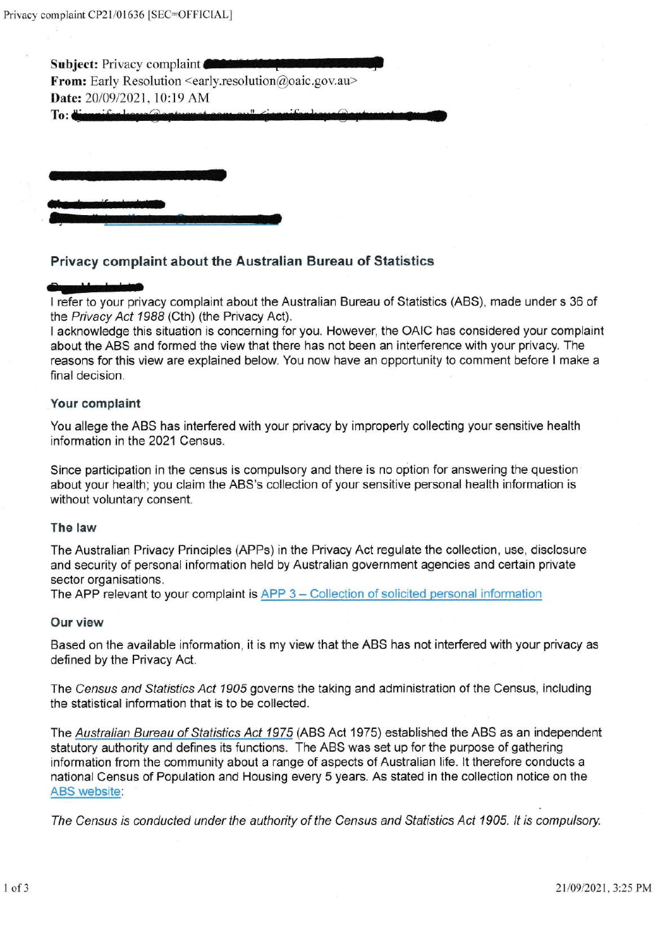Subject: Privacy complaint From: Early Resolution  $\leq$ early.resolution@oaic.gov.au> Date: 20/09/2021, 10:19 AM

Privacy complaint about the Australian Bureau of Statistics

To:

I refer to your privacy complaint about the Australian Bureau of Statistics (ABS), made under s 36 of the Privacy Act 1988 (Cth) (the Privacy Act).

I acknowledge this situation is conceming for you. However, the OAIC has considered your complaint about the ABS and formed the view that there has not been an interference with your privacy. The reasons for this view are explained below You now have an opportunity to comment before I make a final decision.

# Your complaint

You allege the ABS has interfered with your privacy by improperly collecting your sensitive health information in the 2021 Census.

Since participation in the census is compulsory and there is no option for answering the question about your health; you claim the ABS's collection of your sensitive personal health information is without voluntary consent.

#### The law

The Australian Privacy Principles (APPs) in the Privacy Act regulate the collection, use, disclosure and security of personal information held by Australian government agencies and certain private sector organisations.

The APP relevant to your complaint is APP 3 – Collection of solicited personal information

### Our view

Based on the available information, it is my view that the ABS has not interfered with your privacy as defined by the Privacy Act.

The Census and Statistics Act 1905 governs the taking and administration of the Census, including the statistical information that is to be collected.

The Australian Bureau of Statistics Act 1975 (ABS Act 1975) established the ABS as an independent statutory authority and defines its functions. The ABS was set up for the purpose of gathering information from the community about a range of aspects of Australian life. lt therefore conducts a national Census of Population and Housing every 5 years. As stated in the collection notice on the ABS website:

The Census is conducted under the authority of the Census and Statistics Act 1905. It is compulsory.